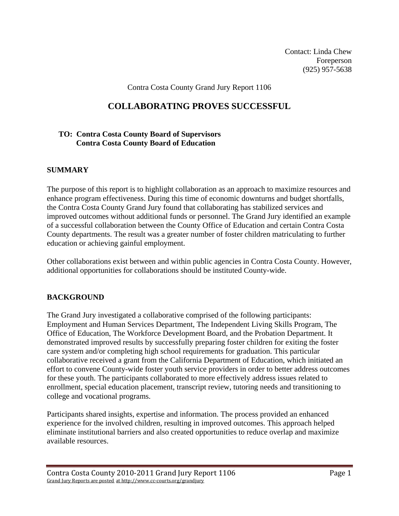Contact: Linda Chew Foreperson (925) 957-5638

Contra Costa County Grand Jury Report 1106

# **COLLABORATING PROVES SUCCESSFUL**

# **TO: Contra Costa County Board of Supervisors Contra Costa County Board of Education**

### **SUMMARY**

The purpose of this report is to highlight collaboration as an approach to maximize resources and enhance program effectiveness. During this time of economic downturns and budget shortfalls, the Contra Costa County Grand Jury found that collaborating has stabilized services and improved outcomes without additional funds or personnel. The Grand Jury identified an example of a successful collaboration between the County Office of Education and certain Contra Costa County departments. The result was a greater number of foster children matriculating to further education or achieving gainful employment.

Other collaborations exist between and within public agencies in Contra Costa County. However, additional opportunities for collaborations should be instituted County-wide.

### **BACKGROUND**

The Grand Jury investigated a collaborative comprised of the following participants: Employment and Human Services Department, The Independent Living Skills Program, The Office of Education, The Workforce Development Board, and the Probation Department. It demonstrated improved results by successfully preparing foster children for exiting the foster care system and/or completing high school requirements for graduation. This particular collaborative received a grant from the California Department of Education, which initiated an effort to convene County-wide foster youth service providers in order to better address outcomes for these youth. The participants collaborated to more effectively address issues related to enrollment, special education placement, transcript review, tutoring needs and transitioning to college and vocational programs.

Participants shared insights, expertise and information. The process provided an enhanced experience for the involved children, resulting in improved outcomes. This approach helped eliminate institutional barriers and also created opportunities to reduce overlap and maximize available resources.